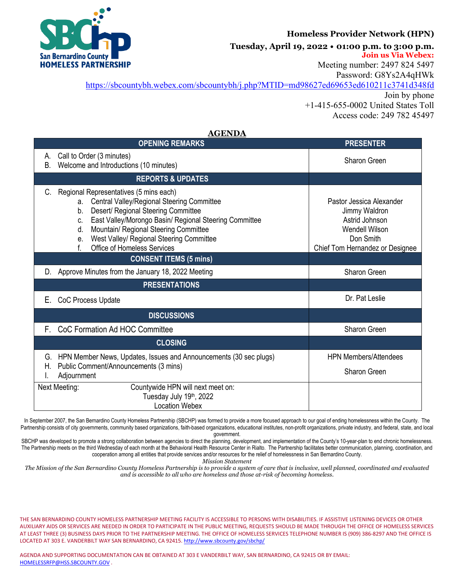

## **Homeless Provider Network (HPN)**

**Tuesday, April 19, 2022 • 01:00 p.m. to 3:00 p.m.**

**Join us Via Webex:**

Meeting number: 2497 824 5497

Password: G8Ys2A4qHWk

[https://sbcountybh.webex.com/sbcountybh/j.php?MTID=md98627ed69653ed610211c3741d348fd](about:blank) Join by phone

+1-415-655-0002 United States Toll Access code: 249 782 45497

## **AGENDA**

| <b>OPENING REMARKS</b>                                                                                                                                                                                                                                                                                                                              | <b>PRESENTER</b>                                                                                                                     |  |  |
|-----------------------------------------------------------------------------------------------------------------------------------------------------------------------------------------------------------------------------------------------------------------------------------------------------------------------------------------------------|--------------------------------------------------------------------------------------------------------------------------------------|--|--|
| Call to Order (3 minutes)<br>А.<br>Welcome and Introductions (10 minutes)<br><b>B.</b>                                                                                                                                                                                                                                                              | Sharon Green                                                                                                                         |  |  |
| <b>REPORTS &amp; UPDATES</b>                                                                                                                                                                                                                                                                                                                        |                                                                                                                                      |  |  |
| Regional Representatives (5 mins each)<br>C.<br>Central Valley/Regional Steering Committee<br>a.<br>Desert/ Regional Steering Committee<br>b.<br>East Valley/Morongo Basin/ Regional Steering Committee<br>C.<br>Mountain/ Regional Steering Committee<br>d.<br>West Valley/ Regional Steering Committee<br>е.<br>Office of Homeless Services<br>f. | Pastor Jessica Alexander<br>Jimmy Waldron<br>Astrid Johnson<br><b>Wendell Wilson</b><br>Don Smith<br>Chief Tom Hernandez or Designee |  |  |
| <b>CONSENT ITEMS (5 mins)</b>                                                                                                                                                                                                                                                                                                                       |                                                                                                                                      |  |  |
| Approve Minutes from the January 18, 2022 Meeting<br>D.                                                                                                                                                                                                                                                                                             | Sharon Green                                                                                                                         |  |  |
| <b>PRESENTATIONS</b>                                                                                                                                                                                                                                                                                                                                |                                                                                                                                      |  |  |
| Е.<br>CoC Process Update                                                                                                                                                                                                                                                                                                                            | Dr. Pat Leslie                                                                                                                       |  |  |
| <b>DISCUSSIONS</b>                                                                                                                                                                                                                                                                                                                                  |                                                                                                                                      |  |  |
| CoC Formation Ad HOC Committee<br>F.                                                                                                                                                                                                                                                                                                                | Sharon Green                                                                                                                         |  |  |
| <b>CLOSING</b>                                                                                                                                                                                                                                                                                                                                      |                                                                                                                                      |  |  |
| HPN Member News, Updates, Issues and Announcements (30 sec plugs)<br>G.<br>Public Comment/Announcements (3 mins)<br>Н.<br>Adjournment                                                                                                                                                                                                               | <b>HPN Members/Attendees</b><br>Sharon Green                                                                                         |  |  |
| Next Meeting:<br>Countywide HPN will next meet on:<br>Tuesday July 19th, 2022<br><b>Location Webex</b>                                                                                                                                                                                                                                              |                                                                                                                                      |  |  |

In September 2007, the San Bernardino County Homeless Partnership (SBCHP) was formed to provide a more focused approach to our goal of ending homelessness within the County. The Partnership consists of city governments, community based organizations, faith-based organizations, educational institutes, non-profit organizations, private industry, and federal, state, and local government.

SBCHP was developed to promote a strong collaboration between agencies to direct the planning, development, and implementation of the County's 10-year-plan to end chronic homelessness. The Partnership meets on the third Wednesday of each month at the Behavioral Health Resource Center in Rialto. The Partnership facilitates better communication, planning, coordination, and cooperation among all entities that provide services and/or resources for the relief of homelessness in San Bernardino County.

*Mission Statement*

*The Mission of the San Bernardino County Homeless Partnership is to provide a system of care that is inclusive, well planned, coordinated and evaluated and is accessible to all who are homeless and those at-risk of becoming homeless.*

THE SAN BERNARDINO COUNTY HOMELESS PARTNERSHIP MEETING FACILITY IS ACCESSIBLE TO PERSONS WITH DISABILITIES. IF ASSISTIVE LISTENING DEVICES OR OTHER AUXILIARY AIDS OR SERVICES ARE NEEDED IN ORDER TO PARTICIPATE IN THE PUBLIC MEETING, REQUESTS SHOULD BE MADE THROUGH THE OFFICE OF HOMELESS SERVICES AT LEAST THREE (3) BUSINESS DAYS PRIOR TO THE PARTNERSHIP MEETING. THE OFFICE OF HOMELESS SERVICES TELEPHONE NUMBER IS (909) 386-8297 AND THE OFFICE IS LOCATED AT 303 E. VANDERBILT WAY SAN BERNARDINO, CA 92415[. http://www.sbcounty.gov/sbchp/](about:blank)

AGENDA AND SUPPORTING DOCUMENTATION CAN BE OBTAINED AT 303 E VANDERBILT WAY, SAN BERNARDINO, CA 92415 OR BY EMAIL: [HOMELESSRFP@HSS.SBCOUNTY.GOV](about:blank) .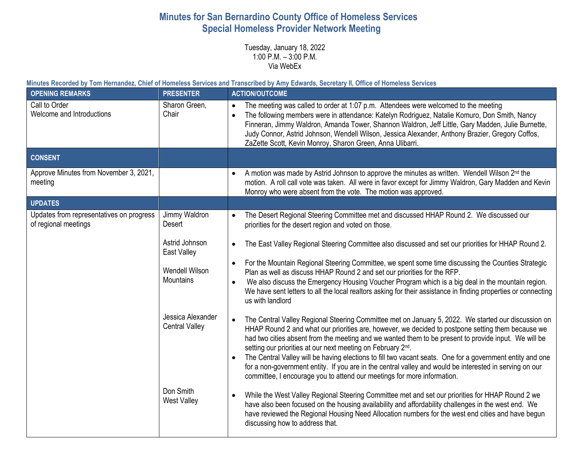## **Minutes for San Bernardino County Office of Homeless Services Special Homeless Provider Network Meeting**

Tuesday, January 18, 2022 1:00 P.M. – 3:00 P.M. Via WebEx

**Minutes Recorded by Tom Hernandez, Chief of Homeless Services and Transcribed by Amy Edwards, Secretary II, Office of Homeless Services** 

| <b>OPENING REMARKS</b>                                           | <b>PRESENTER</b>                           | <b>ACTION/OUTCOME</b>                                                                                                                                                                                                                                                                                                                                                                                                                                                                |
|------------------------------------------------------------------|--------------------------------------------|--------------------------------------------------------------------------------------------------------------------------------------------------------------------------------------------------------------------------------------------------------------------------------------------------------------------------------------------------------------------------------------------------------------------------------------------------------------------------------------|
| Call to Order<br>Welcome and Introductions                       | Sharon Green,<br>Chair                     | The meeting was called to order at 1:07 p.m. Attendees were welcomed to the meeting<br>$\bullet$<br>The following members were in attendance: Katelyn Rodriguez, Natalie Komuro, Don Smith, Nancy<br>$\bullet$<br>Finneran, Jimmy Waldron, Amanda Tower, Shannon Waldron, Jeff Little, Gary Madden, Julie Burnette,<br>Judy Connor, Astrid Johnson, Wendell Wilson, Jessica Alexander, Anthony Brazier, Gregory Coffos,<br>ZaZette Scott, Kevin Monroy, Sharon Green, Anna Ulibarri. |
| <b>CONSENT</b>                                                   |                                            |                                                                                                                                                                                                                                                                                                                                                                                                                                                                                      |
| Approve Minutes from November 3, 2021,<br>meeting                |                                            | A motion was made by Astrid Johnson to approve the minutes as written. Wendell Wilson 2 <sup>nd</sup> the<br>$\bullet$<br>motion. A roll call vote was taken. All were in favor except for Jimmy Waldron, Gary Madden and Kevin<br>Monroy who were absent from the vote. The motion was approved.                                                                                                                                                                                    |
| <b>UPDATES</b>                                                   |                                            |                                                                                                                                                                                                                                                                                                                                                                                                                                                                                      |
| Updates from representatives on progress<br>of regional meetings | Jimmy Waldron<br>Desert                    | The Desert Regional Steering Committee met and discussed HHAP Round 2. We discussed our<br>$\bullet$<br>priorities for the desert region and voted on those.                                                                                                                                                                                                                                                                                                                         |
|                                                                  | Astrid Johnson<br>East Valley              | The East Valley Regional Steering Committee also discussed and set our priorities for HHAP Round 2.<br>$\bullet$                                                                                                                                                                                                                                                                                                                                                                     |
|                                                                  | Wendell Wilson<br><b>Mountains</b>         | For the Mountain Regional Steering Committee, we spent some time discussing the Counties Strategic<br>$\bullet$<br>Plan as well as discuss HHAP Round 2 and set our priorities for the RFP.<br>We also discuss the Emergency Housing Voucher Program which is a big deal in the mountain region.<br>$\bullet$                                                                                                                                                                        |
|                                                                  |                                            | We have sent letters to all the local realtors asking for their assistance in finding properties or connecting<br>us with landlord                                                                                                                                                                                                                                                                                                                                                   |
|                                                                  | Jessica Alexander<br><b>Central Valley</b> | The Central Valley Regional Steering Committee met on January 5, 2022. We started our discussion on<br>HHAP Round 2 and what our priorities are, however, we decided to postpone setting them because we<br>had two cities absent from the meeting and we wanted them to be present to provide input. We will be<br>setting our priorities at our next meeting on February 2 <sup>nd</sup> .                                                                                         |
|                                                                  |                                            | The Central Valley will be having elections to fill two vacant seats. One for a government entity and one<br>for a non-government entity. If you are in the central valley and would be interested in serving on our<br>committee, I encourage you to attend our meetings for more information.                                                                                                                                                                                      |
|                                                                  | Don Smith<br>West Valley                   | While the West Valley Regional Steering Committee met and set our priorities for HHAP Round 2 we<br>$\bullet$<br>have also been focused on the housing availability and affordability challenges in the west end. We<br>have reviewed the Regional Housing Need Allocation numbers for the west end cities and have begun<br>discussing how to address that.                                                                                                                         |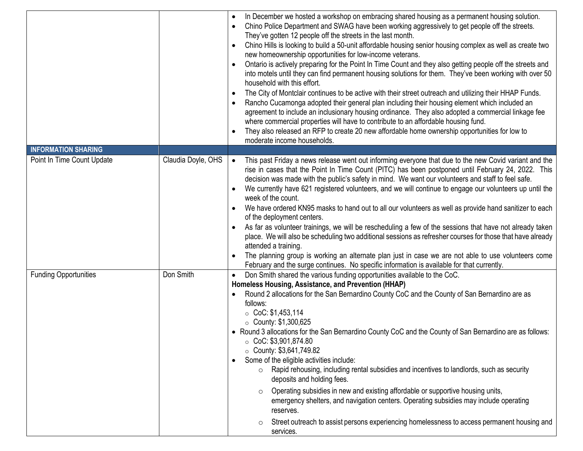|                              |                    | In December we hosted a workshop on embracing shared housing as a permanent housing solution.<br>Chino Police Department and SWAG have been working aggressively to get people off the streets.<br>They've gotten 12 people off the streets in the last month.<br>Chino Hills is looking to build a 50-unit affordable housing senior housing complex as well as create two<br>$\bullet$<br>new homeownership opportunities for low-income veterans.<br>Ontario is actively preparing for the Point In Time Count and they also getting people off the streets and<br>into motels until they can find permanent housing solutions for them. They've been working with over 50<br>household with this effort.<br>The City of Montclair continues to be active with their street outreach and utilizing their HHAP Funds.<br>Rancho Cucamonga adopted their general plan including their housing element which included an<br>agreement to include an inclusionary housing ordinance. They also adopted a commercial linkage fee<br>where commercial properties will have to contribute to an affordable housing fund.<br>They also released an RFP to create 20 new affordable home ownership opportunities for low to<br>moderate income households. |
|------------------------------|--------------------|------------------------------------------------------------------------------------------------------------------------------------------------------------------------------------------------------------------------------------------------------------------------------------------------------------------------------------------------------------------------------------------------------------------------------------------------------------------------------------------------------------------------------------------------------------------------------------------------------------------------------------------------------------------------------------------------------------------------------------------------------------------------------------------------------------------------------------------------------------------------------------------------------------------------------------------------------------------------------------------------------------------------------------------------------------------------------------------------------------------------------------------------------------------------------------------------------------------------------------------------------|
| <b>INFORMATION SHARING</b>   |                    |                                                                                                                                                                                                                                                                                                                                                                                                                                                                                                                                                                                                                                                                                                                                                                                                                                                                                                                                                                                                                                                                                                                                                                                                                                                      |
| Point In Time Count Update   | Claudia Doyle, OHS | This past Friday a news release went out informing everyone that due to the new Covid variant and the<br>$\bullet$<br>rise in cases that the Point In Time Count (PITC) has been postponed until February 24, 2022. This<br>decision was made with the public's safety in mind. We want our volunteers and staff to feel safe.<br>We currently have 621 registered volunteers, and we will continue to engage our volunteers up until the<br>week of the count.<br>We have ordered KN95 masks to hand out to all our volunteers as well as provide hand sanitizer to each<br>of the deployment centers.<br>As far as volunteer trainings, we will be rescheduling a few of the sessions that have not already taken<br>place. We will also be scheduling two additional sessions as refresher courses for those that have already<br>attended a training.<br>The planning group is working an alternate plan just in case we are not able to use volunteers come<br>February and the surge continues. No specific information is available for that currently.                                                                                                                                                                                       |
| <b>Funding Opportunities</b> | Don Smith          | Don Smith shared the various funding opportunities available to the CoC.<br>$\bullet$                                                                                                                                                                                                                                                                                                                                                                                                                                                                                                                                                                                                                                                                                                                                                                                                                                                                                                                                                                                                                                                                                                                                                                |
|                              |                    | Homeless Housing, Assistance, and Prevention (HHAP)<br>Round 2 allocations for the San Bernardino County CoC and the County of San Bernardino are as<br>follows:<br>$\circ$ CoC: \$1,453,114<br>• County: $$1,300,625$<br>• Round 3 allocations for the San Bernardino County CoC and the County of San Bernardino are as follows:<br>$\circ$ CoC: \$3,901,874.80<br>$\circ$ County: \$3,641,749.82<br>Some of the eligible activities include:<br>$\bullet$<br>Rapid rehousing, including rental subsidies and incentives to landlords, such as security<br>$\circ$<br>deposits and holding fees.<br>Operating subsidies in new and existing affordable or supportive housing units,<br>$\circ$<br>emergency shelters, and navigation centers. Operating subsidies may include operating<br>reserves.<br>Street outreach to assist persons experiencing homelessness to access permanent housing and<br>services.                                                                                                                                                                                                                                                                                                                                   |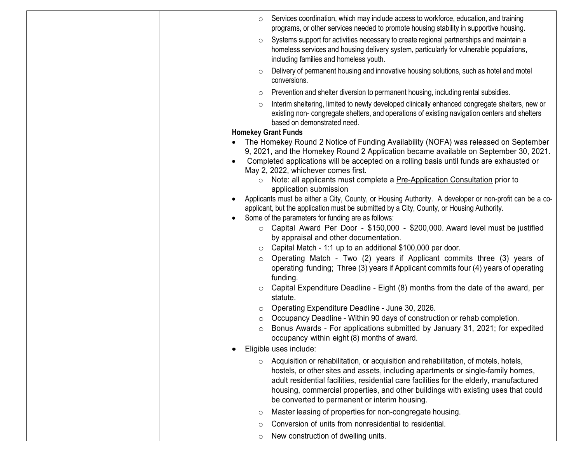| Services coordination, which may include access to workforce, education, and training<br>$\circ$<br>programs, or other services needed to promote housing stability in supportive housing.                                                                                                                                                                                                                        |
|-------------------------------------------------------------------------------------------------------------------------------------------------------------------------------------------------------------------------------------------------------------------------------------------------------------------------------------------------------------------------------------------------------------------|
| Systems support for activities necessary to create regional partnerships and maintain a<br>$\circ$<br>homeless services and housing delivery system, particularly for vulnerable populations,<br>including families and homeless youth.                                                                                                                                                                           |
| Delivery of permanent housing and innovative housing solutions, such as hotel and motel<br>$\circ$<br>conversions.                                                                                                                                                                                                                                                                                                |
| Prevention and shelter diversion to permanent housing, including rental subsidies.<br>$\circ$                                                                                                                                                                                                                                                                                                                     |
| Interim sheltering, limited to newly developed clinically enhanced congregate shelters, new or<br>$\circ$<br>existing non-congregate shelters, and operations of existing navigation centers and shelters<br>based on demonstrated need.                                                                                                                                                                          |
| <b>Homekey Grant Funds</b>                                                                                                                                                                                                                                                                                                                                                                                        |
| The Homekey Round 2 Notice of Funding Availability (NOFA) was released on September<br>9, 2021, and the Homekey Round 2 Application became available on September 30, 2021.<br>Completed applications will be accepted on a rolling basis until funds are exhausted or<br>$\bullet$<br>May 2, 2022, whichever comes first.                                                                                        |
| Note: all applicants must complete a Pre-Application Consultation prior to<br>$\circ$<br>application submission                                                                                                                                                                                                                                                                                                   |
| Applicants must be either a City, County, or Housing Authority. A developer or non-profit can be a co-<br>$\bullet$<br>applicant, but the application must be submitted by a City, County, or Housing Authority.<br>Some of the parameters for funding are as follows:<br>$\bullet$                                                                                                                               |
| $\circ$ Capital Award Per Door - \$150,000 - \$200,000. Award level must be justified<br>by appraisal and other documentation.                                                                                                                                                                                                                                                                                    |
| Capital Match - 1:1 up to an additional \$100,000 per door.<br>$\circ$                                                                                                                                                                                                                                                                                                                                            |
| Operating Match - Two (2) years if Applicant commits three (3) years of<br>$\circ$<br>operating funding; Three (3) years if Applicant commits four (4) years of operating<br>funding.                                                                                                                                                                                                                             |
| Capital Expenditure Deadline - Eight (8) months from the date of the award, per<br>$\circ$<br>statute.                                                                                                                                                                                                                                                                                                            |
| Operating Expenditure Deadline - June 30, 2026.<br>$\circ$                                                                                                                                                                                                                                                                                                                                                        |
| Occupancy Deadline - Within 90 days of construction or rehab completion.<br>$\circ$                                                                                                                                                                                                                                                                                                                               |
| Bonus Awards - For applications submitted by January 31, 2021; for expedited<br>$\circ$<br>occupancy within eight (8) months of award.                                                                                                                                                                                                                                                                            |
| Eligible uses include:                                                                                                                                                                                                                                                                                                                                                                                            |
| $\circ$ Acquisition or rehabilitation, or acquisition and rehabilitation, of motels, hotels,<br>hostels, or other sites and assets, including apartments or single-family homes,<br>adult residential facilities, residential care facilities for the elderly, manufactured<br>housing, commercial properties, and other buildings with existing uses that could<br>be converted to permanent or interim housing. |
| Master leasing of properties for non-congregate housing.<br>O                                                                                                                                                                                                                                                                                                                                                     |
| Conversion of units from nonresidential to residential.<br>$\circ$                                                                                                                                                                                                                                                                                                                                                |
| New construction of dwelling units.<br>$\circ$                                                                                                                                                                                                                                                                                                                                                                    |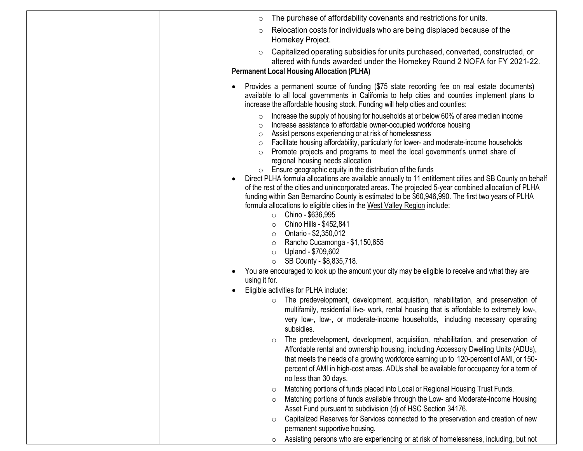|   | $\circ$                                                              | The purchase of affordability covenants and restrictions for units.                                                                                                                                                                                                                                                                                                                                                                                                                                                                                                                                                                                                                                                                                                                                                                                                                                                                                                                                                                                                                                                                                                                                                                                                                                                                                                                                                                                                                                                                                                                                                                                                                                                                                                                                                                                                                                                                                                                                                   |
|---|----------------------------------------------------------------------|-----------------------------------------------------------------------------------------------------------------------------------------------------------------------------------------------------------------------------------------------------------------------------------------------------------------------------------------------------------------------------------------------------------------------------------------------------------------------------------------------------------------------------------------------------------------------------------------------------------------------------------------------------------------------------------------------------------------------------------------------------------------------------------------------------------------------------------------------------------------------------------------------------------------------------------------------------------------------------------------------------------------------------------------------------------------------------------------------------------------------------------------------------------------------------------------------------------------------------------------------------------------------------------------------------------------------------------------------------------------------------------------------------------------------------------------------------------------------------------------------------------------------------------------------------------------------------------------------------------------------------------------------------------------------------------------------------------------------------------------------------------------------------------------------------------------------------------------------------------------------------------------------------------------------------------------------------------------------------------------------------------------------|
|   | $\circ$                                                              | Relocation costs for individuals who are being displaced because of the<br>Homekey Project.                                                                                                                                                                                                                                                                                                                                                                                                                                                                                                                                                                                                                                                                                                                                                                                                                                                                                                                                                                                                                                                                                                                                                                                                                                                                                                                                                                                                                                                                                                                                                                                                                                                                                                                                                                                                                                                                                                                           |
|   | $\circ$                                                              | Capitalized operating subsidies for units purchased, converted, constructed, or<br>altered with funds awarded under the Homekey Round 2 NOFA for FY 2021-22.<br><b>Permanent Local Housing Allocation (PLHA)</b>                                                                                                                                                                                                                                                                                                                                                                                                                                                                                                                                                                                                                                                                                                                                                                                                                                                                                                                                                                                                                                                                                                                                                                                                                                                                                                                                                                                                                                                                                                                                                                                                                                                                                                                                                                                                      |
| ٠ | $\circ$<br>$\circ$<br>$\circ$<br>$\circ$<br>$\circ$<br>using it for. | Provides a permanent source of funding (\$75 state recording fee on real estate documents)<br>available to all local governments in California to help cities and counties implement plans to<br>increase the affordable housing stock. Funding will help cities and counties:<br>Increase the supply of housing for households at or below 60% of area median income<br>Increase assistance to affordable owner-occupied workforce housing<br>Assist persons experiencing or at risk of homelessness<br>Facilitate housing affordability, particularly for lower- and moderate-income households<br>Promote projects and programs to meet the local government's unmet share of<br>regional housing needs allocation<br>Ensure geographic equity in the distribution of the funds<br>Direct PLHA formula allocations are available annually to 11 entitlement cities and SB County on behalf<br>of the rest of the cities and unincorporated areas. The projected 5-year combined allocation of PLHA<br>funding within San Bernardino County is estimated to be \$60,946,990. The first two years of PLHA<br>formula allocations to eligible cities in the West Valley Region include:<br>Chino - \$636,995<br>$\circ$<br>Chino Hills - \$452,841<br>$\circ$<br>• Ontario - \$2,350,012<br>Rancho Cucamonga - \$1,150,655<br>$\circ$<br>Upland - \$709,602<br>$\circ$<br>$\circ$ SB County - \$8,835,718.<br>You are encouraged to look up the amount your city may be eligible to receive and what they are<br>Eligible activities for PLHA include:<br>o The predevelopment, development, acquisition, rehabilitation, and preservation of<br>multifamily, residential live- work, rental housing that is affordable to extremely low-,<br>very low-, low-, or moderate-income households, including necessary operating<br>subsidies.<br>The predevelopment, development, acquisition, rehabilitation, and preservation of<br>Affordable rental and ownership housing, including Accessory Dwelling Units (ADUs), |
|   |                                                                      | that meets the needs of a growing workforce earning up to 120-percent of AMI, or 150-<br>percent of AMI in high-cost areas. ADUs shall be available for occupancy for a term of<br>no less than 30 days.                                                                                                                                                                                                                                                                                                                                                                                                                                                                                                                                                                                                                                                                                                                                                                                                                                                                                                                                                                                                                                                                                                                                                                                                                                                                                                                                                                                                                                                                                                                                                                                                                                                                                                                                                                                                              |
|   |                                                                      | Matching portions of funds placed into Local or Regional Housing Trust Funds.<br>$\circ$<br>Matching portions of funds available through the Low- and Moderate-Income Housing<br>$\circ$<br>Asset Fund pursuant to subdivision (d) of HSC Section 34176.                                                                                                                                                                                                                                                                                                                                                                                                                                                                                                                                                                                                                                                                                                                                                                                                                                                                                                                                                                                                                                                                                                                                                                                                                                                                                                                                                                                                                                                                                                                                                                                                                                                                                                                                                              |
|   |                                                                      | Capitalized Reserves for Services connected to the preservation and creation of new<br>$\circ$<br>permanent supportive housing.<br>Assisting persons who are experiencing or at risk of homelessness, including, but not<br>$\circ$                                                                                                                                                                                                                                                                                                                                                                                                                                                                                                                                                                                                                                                                                                                                                                                                                                                                                                                                                                                                                                                                                                                                                                                                                                                                                                                                                                                                                                                                                                                                                                                                                                                                                                                                                                                   |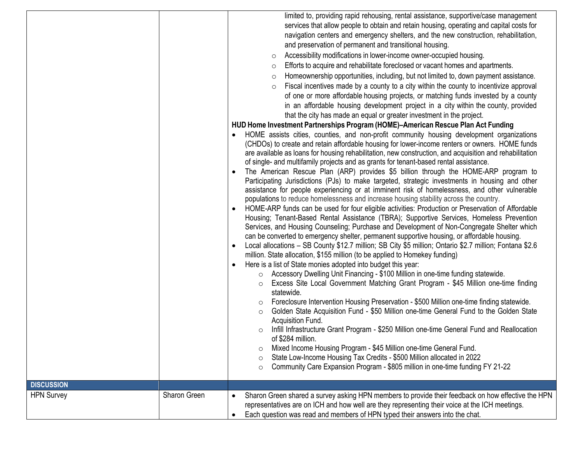|                                        |              | limited to, providing rapid rehousing, rental assistance, supportive/case management<br>services that allow people to obtain and retain housing, operating and capital costs for<br>navigation centers and emergency shelters, and the new construction, rehabilitation,<br>and preservation of permanent and transitional housing.<br>Accessibility modifications in lower-income owner-occupied housing.<br>$\circ$<br>Efforts to acquire and rehabilitate foreclosed or vacant homes and apartments.<br>$\circ$<br>Homeownership opportunities, including, but not limited to, down payment assistance.<br>$\circ$<br>Fiscal incentives made by a county to a city within the county to incentivize approval<br>$\circ$<br>of one or more affordable housing projects, or matching funds invested by a county<br>in an affordable housing development project in a city within the county, provided<br>that the city has made an equal or greater investment in the project.<br>HUD Home Investment Partnerships Program (HOME)-American Rescue Plan Act Funding<br>HOME assists cities, counties, and non-profit community housing development organizations<br>(CHDOs) to create and retain affordable housing for lower-income renters or owners. HOME funds<br>are available as loans for housing rehabilitation, new construction, and acquisition and rehabilitation<br>of single- and multifamily projects and as grants for tenant-based rental assistance.<br>The American Rescue Plan (ARP) provides \$5 billion through the HOME-ARP program to<br>Participating Jurisdictions (PJs) to make targeted, strategic investments in housing and other<br>assistance for people experiencing or at imminent risk of homelessness, and other vulnerable<br>populations to reduce homelessness and increase housing stability across the country.<br>HOME-ARP funds can be used for four eligible activities: Production or Preservation of Affordable<br>Housing; Tenant-Based Rental Assistance (TBRA); Supportive Services, Homeless Prevention<br>Services, and Housing Counseling; Purchase and Development of Non-Congregate Shelter which<br>can be converted to emergency shelter, permanent supportive housing, or affordable housing.<br>Local allocations - SB County \$12.7 million; SB City \$5 million; Ontario \$2.7 million; Fontana \$2.6<br>$\bullet$<br>million. State allocation, \$155 million (to be applied to Homekey funding)<br>Here is a list of State monies adopted into budget this year:<br>○ Accessory Dwelling Unit Financing - \$100 Million in one-time funding statewide.<br>Excess Site Local Government Matching Grant Program - \$45 Million one-time finding<br>$\circ$<br>statewide.<br>Foreclosure Intervention Housing Preservation - \$500 Million one-time finding statewide.<br>O<br>Golden State Acquisition Fund - \$50 Million one-time General Fund to the Golden State<br>$\circ$<br>Acquisition Fund.<br>Infill Infrastructure Grant Program - \$250 Million one-time General Fund and Reallocation<br>of \$284 million.<br>Mixed Income Housing Program - \$45 Million one-time General Fund.<br>O<br>State Low-Income Housing Tax Credits - \$500 Million allocated in 2022<br>$\circ$<br>Community Care Expansion Program - \$805 million in one-time funding FY 21-22<br>$\circ$ |
|----------------------------------------|--------------|-------------------------------------------------------------------------------------------------------------------------------------------------------------------------------------------------------------------------------------------------------------------------------------------------------------------------------------------------------------------------------------------------------------------------------------------------------------------------------------------------------------------------------------------------------------------------------------------------------------------------------------------------------------------------------------------------------------------------------------------------------------------------------------------------------------------------------------------------------------------------------------------------------------------------------------------------------------------------------------------------------------------------------------------------------------------------------------------------------------------------------------------------------------------------------------------------------------------------------------------------------------------------------------------------------------------------------------------------------------------------------------------------------------------------------------------------------------------------------------------------------------------------------------------------------------------------------------------------------------------------------------------------------------------------------------------------------------------------------------------------------------------------------------------------------------------------------------------------------------------------------------------------------------------------------------------------------------------------------------------------------------------------------------------------------------------------------------------------------------------------------------------------------------------------------------------------------------------------------------------------------------------------------------------------------------------------------------------------------------------------------------------------------------------------------------------------------------------------------------------------------------------------------------------------------------------------------------------------------------------------------------------------------------------------------------------------------------------------------------------------------------------------------------------------------------------------------------------------------------------------------------------------------------------------------------------------------------------------------------------------------------------------------------------------------------------------------------------------------------------------------------------------------------------------------------------------------------------------------------------------------------------------------------------------------------------------------------------------|
| <b>DISCUSSION</b><br><b>HPN Survey</b> | Sharon Green | Sharon Green shared a survey asking HPN members to provide their feedback on how effective the HPN                                                                                                                                                                                                                                                                                                                                                                                                                                                                                                                                                                                                                                                                                                                                                                                                                                                                                                                                                                                                                                                                                                                                                                                                                                                                                                                                                                                                                                                                                                                                                                                                                                                                                                                                                                                                                                                                                                                                                                                                                                                                                                                                                                                                                                                                                                                                                                                                                                                                                                                                                                                                                                                                                                                                                                                                                                                                                                                                                                                                                                                                                                                                                                                                                                              |
|                                        |              | representatives are on ICH and how well are they representing their voice at the ICH meetings.<br>Each question was read and members of HPN typed their answers into the chat.<br>$\bullet$                                                                                                                                                                                                                                                                                                                                                                                                                                                                                                                                                                                                                                                                                                                                                                                                                                                                                                                                                                                                                                                                                                                                                                                                                                                                                                                                                                                                                                                                                                                                                                                                                                                                                                                                                                                                                                                                                                                                                                                                                                                                                                                                                                                                                                                                                                                                                                                                                                                                                                                                                                                                                                                                                                                                                                                                                                                                                                                                                                                                                                                                                                                                                     |